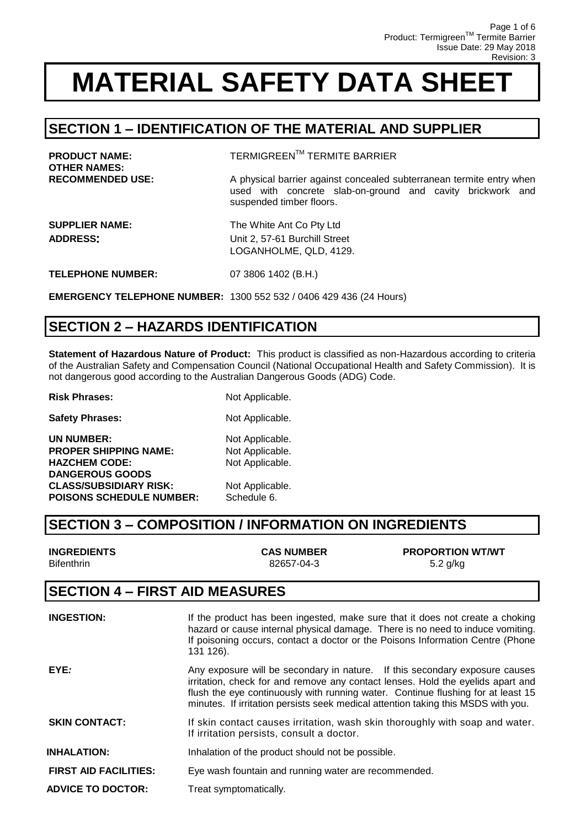### **SECTION 1 – IDENTIFICATION OF THE MATERIAL AND SUPPLIER**

| <b>PRODUCT NAME:</b><br><b>OTHER NAMES:</b> | <b>TERMIGREEN™ TERMITE BARRIER</b>                                                                                                                             |
|---------------------------------------------|----------------------------------------------------------------------------------------------------------------------------------------------------------------|
| <b>RECOMMENDED USE:</b>                     | A physical barrier against concealed subterranean termite entry when<br>used with concrete slab-on-ground and cavity brickwork and<br>suspended timber floors. |
| <b>SUPPLIER NAME:</b><br><b>ADDRESS:</b>    | The White Ant Co Pty Ltd<br>Unit 2, 57-61 Burchill Street<br>LOGANHOLME, QLD, 4129.                                                                            |
| <b>TELEPHONE NUMBER:</b>                    | 07 3806 1402 (B.H.)                                                                                                                                            |
|                                             | <b>EMERGENCY TELEPHONE NUMBER: 1300 552 532 / 0406 429 436 (24 Hours)</b>                                                                                      |

### **SECTION 2 – HAZARDS IDENTIFICATION**

**Statement of Hazardous Nature of Product:** This product is classified as non-Hazardous according to criteria of the Australian Safety and Compensation Council (National Occupational Health and Safety Commission). It is not dangerous good according to the Australian Dangerous Goods (ADG) Code.

**Risk Phrases:** Not Applicable. **Safety Phrases:** Not Applicable. **UN NUMBER:** Not Applicable. **PROPER SHIPPING NAME:** Not Applicable. HAZCHEM CODE: Not Applicable. **DANGEROUS GOODS CLASS/SUBSIDIARY RISK:** Not Applicable. **POISONS SCHEDULE NUMBER:** Schedule 6.

### **SECTION 3 – COMPOSITION / INFORMATION ON INGREDIENTS**

| <b>INGREDIENTS</b> | <b>CAS NUMBER</b> | <b>PROPORTION WT/WT</b> |
|--------------------|-------------------|-------------------------|
| <b>Bifenthrin</b>  | 82657-04-3        | 5.2 g/kg                |

#### **SECTION 4 – FIRST AID MEASURES**

| <b>INGESTION:</b>            | If the product has been ingested, make sure that it does not create a choking<br>hazard or cause internal physical damage. There is no need to induce vomiting.<br>If poisoning occurs, contact a doctor or the Poisons Information Centre (Phone<br>131 126).                                                                          |
|------------------------------|-----------------------------------------------------------------------------------------------------------------------------------------------------------------------------------------------------------------------------------------------------------------------------------------------------------------------------------------|
| EYE:                         | Any exposure will be secondary in nature. If this secondary exposure causes<br>irritation, check for and remove any contact lenses. Hold the eyelids apart and<br>flush the eye continuously with running water. Continue flushing for at least 15<br>minutes. If irritation persists seek medical attention taking this MSDS with you. |
| <b>SKIN CONTACT:</b>         | If skin contact causes irritation, wash skin thoroughly with soap and water.<br>If irritation persists, consult a doctor.                                                                                                                                                                                                               |
| <b>INHALATION:</b>           | Inhalation of the product should not be possible.                                                                                                                                                                                                                                                                                       |
| <b>FIRST AID FACILITIES:</b> | Eye wash fountain and running water are recommended.                                                                                                                                                                                                                                                                                    |
| <b>ADVICE TO DOCTOR:</b>     | Treat symptomatically.                                                                                                                                                                                                                                                                                                                  |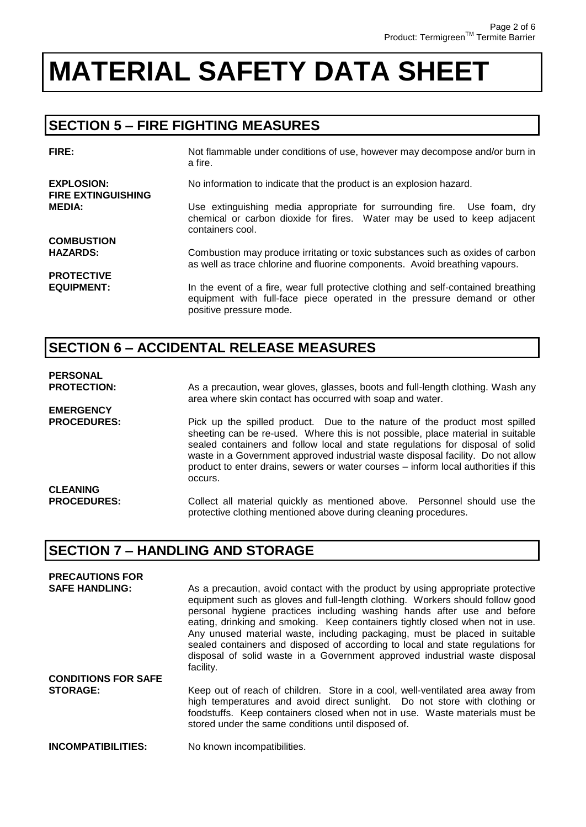### **SECTION 5 – FIRE FIGHTING MEASURES**

| FIRE:                                          | Not flammable under conditions of use, however may decompose and/or burn in<br>a fire.                                                                                                   |
|------------------------------------------------|------------------------------------------------------------------------------------------------------------------------------------------------------------------------------------------|
| <b>EXPLOSION:</b><br><b>FIRE EXTINGUISHING</b> | No information to indicate that the product is an explosion hazard.                                                                                                                      |
| <b>MEDIA:</b>                                  | Use extinguishing media appropriate for surrounding fire. Use foam, dry<br>chemical or carbon dioxide for fires. Water may be used to keep adjacent<br>containers cool.                  |
| <b>COMBUSTION</b>                              |                                                                                                                                                                                          |
| <b>HAZARDS:</b>                                | Combustion may produce irritating or toxic substances such as oxides of carbon<br>as well as trace chlorine and fluorine components. Avoid breathing vapours.                            |
| <b>PROTECTIVE</b>                              |                                                                                                                                                                                          |
| <b>EQUIPMENT:</b>                              | In the event of a fire, wear full protective clothing and self-contained breathing<br>equipment with full-face piece operated in the pressure demand or other<br>positive pressure mode. |

### **SECTION 6 – ACCIDENTAL RELEASE MEASURES**

#### **PERSONAL**

**EMERGENCY** 

**PROTECTION:** As a precaution, wear gloves, glasses, boots and full-length clothing. Wash any area where skin contact has occurred with soap and water.

**PROCEDURES:** Pick up the spilled product. Due to the nature of the product most spilled sheeting can be re-used. Where this is not possible, place material in suitable sealed containers and follow local and state regulations for disposal of solid waste in a Government approved industrial waste disposal facility. Do not allow product to enter drains, sewers or water courses – inform local authorities if this occurs. **CLEANING** 

**PROCEDURES:** Collect all material quickly as mentioned above. Personnel should use the protective clothing mentioned above during cleaning procedures.

### **SECTION 7 – HANDLING AND STORAGE**

| <b>PRECAUTIONS FOR</b>     |                                                                                                                                                                                                                                                                                                                                                                                                                                                                                                                                                                                         |
|----------------------------|-----------------------------------------------------------------------------------------------------------------------------------------------------------------------------------------------------------------------------------------------------------------------------------------------------------------------------------------------------------------------------------------------------------------------------------------------------------------------------------------------------------------------------------------------------------------------------------------|
| <b>SAFE HANDLING:</b>      | As a precaution, avoid contact with the product by using appropriate protective<br>equipment such as gloves and full-length clothing. Workers should follow good<br>personal hygiene practices including washing hands after use and before<br>eating, drinking and smoking. Keep containers tightly closed when not in use.<br>Any unused material waste, including packaging, must be placed in suitable<br>sealed containers and disposed of according to local and state regulations for<br>disposal of solid waste in a Government approved industrial waste disposal<br>facility. |
| <b>CONDITIONS FOR SAFE</b> |                                                                                                                                                                                                                                                                                                                                                                                                                                                                                                                                                                                         |
| <b>STORAGE:</b>            | Keep out of reach of children. Store in a cool, well-ventilated area away from<br>high temperatures and avoid direct sunlight. Do not store with clothing or<br>foodstuffs. Keep containers closed when not in use. Waste materials must be<br>stored under the same conditions until disposed of.                                                                                                                                                                                                                                                                                      |
| <b>INCOMPATIBILITIES:</b>  | No known incompatibilities.                                                                                                                                                                                                                                                                                                                                                                                                                                                                                                                                                             |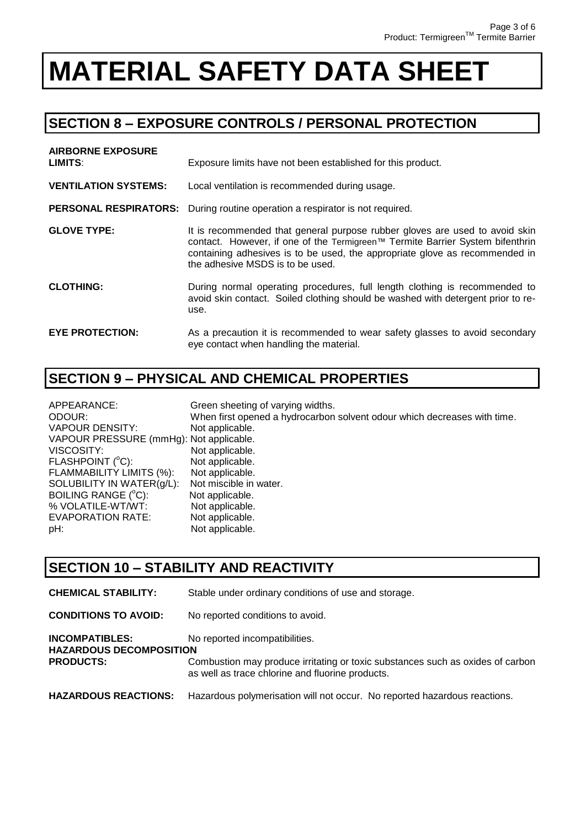### **SECTION 8 – EXPOSURE CONTROLS / PERSONAL PROTECTION**

| <b>AIRBORNE EXPOSURE</b><br>LIMITS: | Exposure limits have not been established for this product.                                                                                                                                                                                                                     |
|-------------------------------------|---------------------------------------------------------------------------------------------------------------------------------------------------------------------------------------------------------------------------------------------------------------------------------|
| <b>VENTILATION SYSTEMS:</b>         | Local ventilation is recommended during usage.                                                                                                                                                                                                                                  |
|                                     | <b>PERSONAL RESPIRATORS:</b> During routine operation a respirator is not required.                                                                                                                                                                                             |
| <b>GLOVE TYPE:</b>                  | It is recommended that general purpose rubber gloves are used to avoid skin<br>contact. However, if one of the Termigreen™ Termite Barrier System bifenthrin<br>containing adhesives is to be used, the appropriate glove as recommended in<br>the adhesive MSDS is to be used. |
| <b>CLOTHING:</b>                    | During normal operating procedures, full length clothing is recommended to<br>avoid skin contact. Soiled clothing should be washed with detergent prior to re-<br>use.                                                                                                          |
| <b>EYE PROTECTION:</b>              | As a precaution it is recommended to wear safety glasses to avoid secondary<br>eye contact when handling the material.                                                                                                                                                          |

### **SECTION 9 – PHYSICAL AND CHEMICAL PROPERTIES**

| APPEARANCE:                             | Green sheeting of varying widths.                                        |
|-----------------------------------------|--------------------------------------------------------------------------|
| ODOUR:                                  | When first opened a hydrocarbon solvent odour which decreases with time. |
| VAPOUR DENSITY:                         | Not applicable.                                                          |
| VAPOUR PRESSURE (mmHg): Not applicable. |                                                                          |
| VISCOSITY:                              | Not applicable.                                                          |
| FLASHPOINT (°C):                        | Not applicable.                                                          |
| FLAMMABILITY LIMITS (%):                | Not applicable.                                                          |
| SOLUBILITY IN WATER(g/L):               | Not miscible in water.                                                   |
| BOILING RANGE (°C):                     | Not applicable.                                                          |
| % VOLATILE-WT/WT:                       | Not applicable.                                                          |
| EVAPORATION RATE:                       | Not applicable.                                                          |
| pH:                                     | Not applicable.                                                          |

### **SECTION 10 – STABILITY AND REACTIVITY**

| <b>CHEMICAL STABILITY:</b>                                                  | Stable under ordinary conditions of use and storage.                                                                                                                 |
|-----------------------------------------------------------------------------|----------------------------------------------------------------------------------------------------------------------------------------------------------------------|
| <b>CONDITIONS TO AVOID:</b>                                                 | No reported conditions to avoid.                                                                                                                                     |
| <b>INCOMPATIBLES:</b><br><b>HAZARDOUS DECOMPOSITION</b><br><b>PRODUCTS:</b> | No reported incompatibilities.<br>Combustion may produce irritating or toxic substances such as oxides of carbon<br>as well as trace chlorine and fluorine products. |
| <b>HAZARDOUS REACTIONS:</b>                                                 | Hazardous polymerisation will not occur. No reported hazardous reactions.                                                                                            |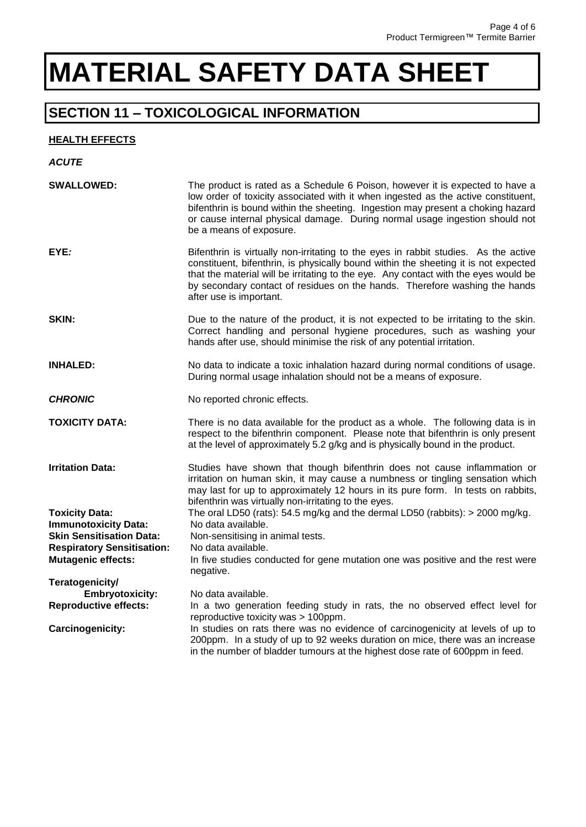### **SECTION 11 – TOXICOLOGICAL INFORMATION**

#### **HEALTH EFFECTS**

| <b>ACUTE</b>                                                   |                                                                                                                                                                                                                                                                                                                                                                            |
|----------------------------------------------------------------|----------------------------------------------------------------------------------------------------------------------------------------------------------------------------------------------------------------------------------------------------------------------------------------------------------------------------------------------------------------------------|
| <b>SWALLOWED:</b>                                              | The product is rated as a Schedule 6 Poison, however it is expected to have a<br>low order of toxicity associated with it when ingested as the active constituent,<br>bifenthrin is bound within the sheeting. Ingestion may present a choking hazard<br>or cause internal physical damage. During normal usage ingestion should not<br>be a means of exposure.            |
| EYE:                                                           | Bifenthrin is virtually non-irritating to the eyes in rabbit studies. As the active<br>constituent, bifenthrin, is physically bound within the sheeting it is not expected<br>that the material will be irritating to the eye. Any contact with the eyes would be<br>by secondary contact of residues on the hands. Therefore washing the hands<br>after use is important. |
| SKIN:                                                          | Due to the nature of the product, it is not expected to be irritating to the skin.<br>Correct handling and personal hygiene procedures, such as washing your<br>hands after use, should minimise the risk of any potential irritation.                                                                                                                                     |
| <b>INHALED:</b>                                                | No data to indicate a toxic inhalation hazard during normal conditions of usage.<br>During normal usage inhalation should not be a means of exposure.                                                                                                                                                                                                                      |
| <b>CHRONIC</b>                                                 | No reported chronic effects.                                                                                                                                                                                                                                                                                                                                               |
| <b>TOXICITY DATA:</b>                                          | There is no data available for the product as a whole. The following data is in<br>respect to the bifenthrin component. Please note that bifenthrin is only present<br>at the level of approximately 5.2 g/kg and is physically bound in the product.                                                                                                                      |
| <b>Irritation Data:</b>                                        | Studies have shown that though bifenthrin does not cause inflammation or<br>irritation on human skin, it may cause a numbness or tingling sensation which<br>may last for up to approximately 12 hours in its pure form. In tests on rabbits,<br>bifenthrin was virtually non-irritating to the eyes.                                                                      |
| <b>Toxicity Data:</b>                                          | The oral LD50 (rats): $54.5$ mg/kg and the dermal LD50 (rabbits): $>$ 2000 mg/kg.                                                                                                                                                                                                                                                                                          |
| <b>Immunotoxicity Data:</b>                                    | No data available.                                                                                                                                                                                                                                                                                                                                                         |
| <b>Skin Sensitisation Data:</b>                                | Non-sensitising in animal tests.                                                                                                                                                                                                                                                                                                                                           |
| <b>Respiratory Sensitisation:</b><br><b>Mutagenic effects:</b> | No data available.<br>In five studies conducted for gene mutation one was positive and the rest were                                                                                                                                                                                                                                                                       |
|                                                                | negative.                                                                                                                                                                                                                                                                                                                                                                  |
| Teratogenicity/                                                |                                                                                                                                                                                                                                                                                                                                                                            |
| <b>Embryotoxicity:</b>                                         | No data available.                                                                                                                                                                                                                                                                                                                                                         |
| <b>Reproductive effects:</b>                                   | In a two generation feeding study in rats, the no observed effect level for<br>reproductive toxicity was > 100ppm.                                                                                                                                                                                                                                                         |
| <b>Carcinogenicity:</b>                                        | In studies on rats there was no evidence of carcinogenicity at levels of up to<br>200ppm. In a study of up to 92 weeks duration on mice, there was an increase<br>in the number of bladder tumours at the highest dose rate of 600ppm in feed.                                                                                                                             |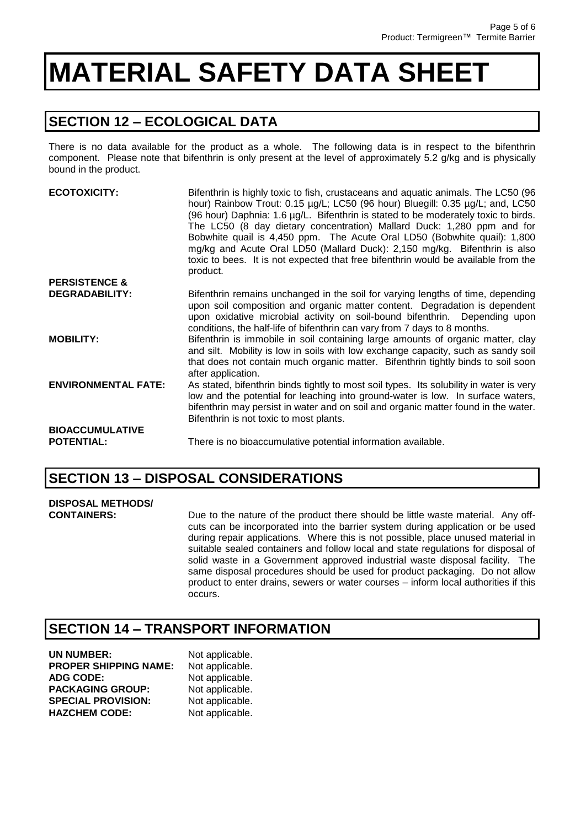### **SECTION 12 – ECOLOGICAL DATA**

There is no data available for the product as a whole. The following data is in respect to the bifenthrin component. Please note that bifenthrin is only present at the level of approximately 5.2 g/kg and is physically bound in the product.

| <b>ECOTOXICITY:</b>                         | Bifenthrin is highly toxic to fish, crustaceans and aquatic animals. The LC50 (96<br>hour) Rainbow Trout: 0.15 µg/L; LC50 (96 hour) Bluegill: 0.35 µg/L; and, LC50<br>(96 hour) Daphnia: 1.6 µg/L. Bifenthrin is stated to be moderately toxic to birds.<br>The LC50 (8 day dietary concentration) Mallard Duck: 1,280 ppm and for<br>Bobwhite quail is 4,450 ppm. The Acute Oral LD50 (Bobwhite quail): 1,800<br>mg/kg and Acute Oral LD50 (Mallard Duck): 2,150 mg/kg. Bifenthrin is also<br>toxic to bees. It is not expected that free bifenthrin would be available from the<br>product. |
|---------------------------------------------|-----------------------------------------------------------------------------------------------------------------------------------------------------------------------------------------------------------------------------------------------------------------------------------------------------------------------------------------------------------------------------------------------------------------------------------------------------------------------------------------------------------------------------------------------------------------------------------------------|
| <b>PERSISTENCE &amp;</b>                    |                                                                                                                                                                                                                                                                                                                                                                                                                                                                                                                                                                                               |
| <b>DEGRADABILITY:</b>                       | Bifenthrin remains unchanged in the soil for varying lengths of time, depending<br>upon soil composition and organic matter content. Degradation is dependent<br>upon oxidative microbial activity on soil-bound bifenthrin. Depending upon<br>conditions, the half-life of bifenthrin can vary from 7 days to 8 months.                                                                                                                                                                                                                                                                      |
| <b>MOBILITY:</b>                            | Bifenthrin is immobile in soil containing large amounts of organic matter, clay<br>and silt. Mobility is low in soils with low exchange capacity, such as sandy soil<br>that does not contain much organic matter. Bifenthrin tightly binds to soil soon<br>after application.                                                                                                                                                                                                                                                                                                                |
| <b>ENVIRONMENTAL FATE:</b>                  | As stated, bifenthrin binds tightly to most soil types. Its solubility in water is very<br>low and the potential for leaching into ground-water is low. In surface waters,<br>bifenthrin may persist in water and on soil and organic matter found in the water.<br>Bifenthrin is not toxic to most plants.                                                                                                                                                                                                                                                                                   |
| <b>BIOACCUMULATIVE</b><br><b>POTENTIAL:</b> | There is no bioaccumulative potential information available.                                                                                                                                                                                                                                                                                                                                                                                                                                                                                                                                  |

### **SECTION 13 – DISPOSAL CONSIDERATIONS**

### **DISPOSAL METHODS/**

**CONTAINERS:** Due to the nature of the product there should be little waste material. Any offcuts can be incorporated into the barrier system during application or be used during repair applications. Where this is not possible, place unused material in suitable sealed containers and follow local and state regulations for disposal of solid waste in a Government approved industrial waste disposal facility. The same disposal procedures should be used for product packaging. Do not allow product to enter drains, sewers or water courses – inform local authorities if this occurs.

### **SECTION 14 – TRANSPORT INFORMATION**

| UN NUMBER:                   | Not applicable. |
|------------------------------|-----------------|
| <b>PROPER SHIPPING NAME:</b> | Not applicable. |
| <b>ADG CODE:</b>             | Not applicable. |
| <b>PACKAGING GROUP:</b>      | Not applicable. |
| <b>SPECIAL PROVISION:</b>    | Not applicable. |
| <b>HAZCHEM CODE:</b>         | Not applicable. |